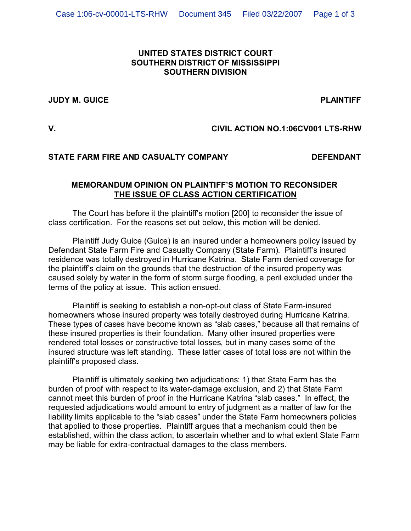# **UNITED STATES DISTRICT COURT SOUTHERN DISTRICT OF MISSISSIPPI SOUTHERN DIVISION**

#### **JUDY M. GUICE PLAINTIFF**

# **V. CIVIL ACTION NO.1:06CV001 LTS-RHW**

### **STATE FARM FIRE AND CASUALTY COMPANY DEFENDANT**

## **MEMORANDUM OPINION ON PLAINTIFF'S MOTION TO RECONSIDER THE ISSUE OF CLASS ACTION CERTIFICATION**

The Court has before it the plaintiff's motion [200] to reconsider the issue of class certification. For the reasons set out below, this motion will be denied.

Plaintiff Judy Guice (Guice) is an insured under a homeowners policy issued by Defendant State Farm Fire and Casualty Company (State Farm). Plaintiff's insured residence was totally destroyed in Hurricane Katrina. State Farm denied coverage for the plaintiff's claim on the grounds that the destruction of the insured property was caused solely by water in the form of storm surge flooding, a peril excluded under the terms of the policy at issue. This action ensued.

Plaintiff is seeking to establish a non-opt-out class of State Farm-insured homeowners whose insured property was totally destroyed during Hurricane Katrina. These types of cases have become known as "slab cases," because all that remains of these insured properties is their foundation. Many other insured properties were rendered total losses or constructive total losses, but in many cases some of the insured structure was left standing. These latter cases of total loss are not within the plaintiff's proposed class.

Plaintiff is ultimately seeking two adjudications: 1) that State Farm has the burden of proof with respect to its water-damage exclusion, and 2) that State Farm cannot meet this burden of proof in the Hurricane Katrina "slab cases." In effect, the requested adjudications would amount to entry of judgment as a matter of law for the liability limits applicable to the "slab cases" under the State Farm homeowners policies that applied to those properties. Plaintiff argues that a mechanism could then be established, within the class action, to ascertain whether and to what extent State Farm may be liable for extra-contractual damages to the class members.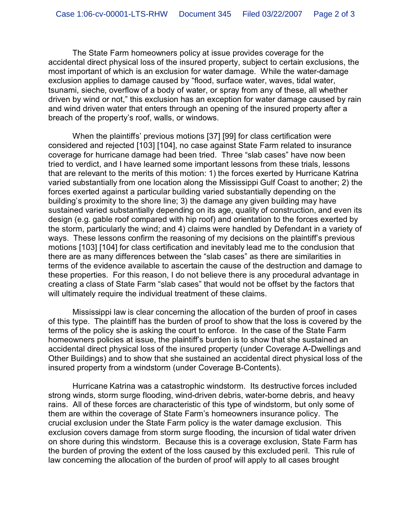The State Farm homeowners policy at issue provides coverage for the accidental direct physical loss of the insured property, subject to certain exclusions, the most important of which is an exclusion for water damage. While the water-damage exclusion applies to damage caused by "flood, surface water, waves, tidal water, tsunami, sieche, overflow of a body of water, or spray from any of these, all whether driven by wind or not," this exclusion has an exception for water damage caused by rain and wind driven water that enters through an opening of the insured property after a breach of the property's roof, walls, or windows.

When the plaintiffs' previous motions [37] [99] for class certification were considered and rejected [103] [104], no case against State Farm related to insurance coverage for hurricane damage had been tried. Three "slab cases" have now been tried to verdict, and I have learned some important lessons from these trials, lessons that are relevant to the merits of this motion: 1) the forces exerted by Hurricane Katrina varied substantially from one location along the Mississippi Gulf Coast to another; 2) the forces exerted against a particular building varied substantially depending on the building's proximity to the shore line; 3) the damage any given building may have sustained varied substantially depending on its age, quality of construction, and even its design (e.g. gable roof compared with hip roof) and orientation to the forces exerted by the storm, particularly the wind; and 4) claims were handled by Defendant in a variety of ways. These lessons confirm the reasoning of my decisions on the plaintiff's previous motions [103] [104] for class certification and inevitably lead me to the conclusion that there are as many differences between the "slab cases" as there are similarities in terms of the evidence available to ascertain the cause of the destruction and damage to these properties. For this reason, I do not believe there is any procedural advantage in creating a class of State Farm "slab cases" that would not be offset by the factors that will ultimately require the individual treatment of these claims.

Mississippi law is clear concerning the allocation of the burden of proof in cases of this type. The plaintiff has the burden of proof to show that the loss is covered by the terms of the policy she is asking the court to enforce. In the case of the State Farm homeowners policies at issue, the plaintiff's burden is to show that she sustained an accidental direct physical loss of the insured property (under Coverage A-Dwellings and Other Buildings) and to show that she sustained an accidental direct physical loss of the insured property from a windstorm (under Coverage B-Contents).

Hurricane Katrina was a catastrophic windstorm. Its destructive forces included strong winds, storm surge flooding, wind-driven debris, water-borne debris, and heavy rains. All of these forces are characteristic of this type of windstorm, but only some of them are within the coverage of State Farm's homeowners insurance policy. The crucial exclusion under the State Farm policy is the water damage exclusion. This exclusion covers damage from storm surge flooding, the incursion of tidal water driven on shore during this windstorm. Because this is a coverage exclusion, State Farm has the burden of proving the extent of the loss caused by this excluded peril. This rule of law concerning the allocation of the burden of proof will apply to all cases brought